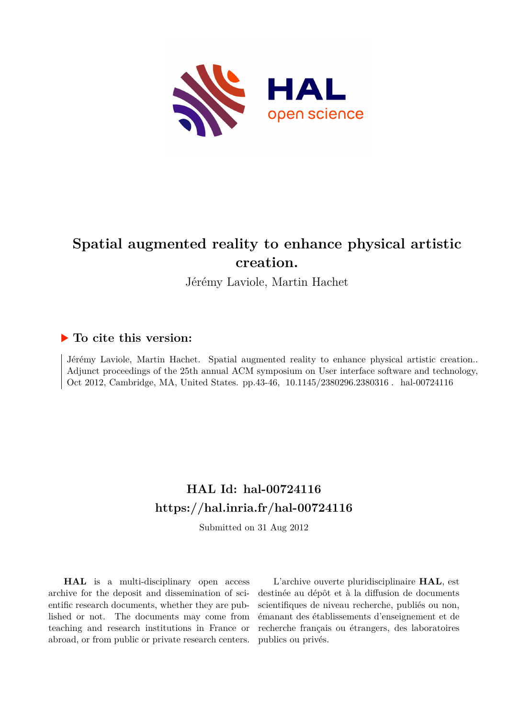

# **Spatial augmented reality to enhance physical artistic creation.**

Jérémy Laviole, Martin Hachet

## **To cite this version:**

Jérémy Laviole, Martin Hachet. Spatial augmented reality to enhance physical artistic creation.. Adjunct proceedings of the 25th annual ACM symposium on User interface software and technology, Oct 2012, Cambridge, MA, United States. pp.43-46, 10.1145/2380296.2380316. hal-00724116

# **HAL Id: hal-00724116 <https://hal.inria.fr/hal-00724116>**

Submitted on 31 Aug 2012

**HAL** is a multi-disciplinary open access archive for the deposit and dissemination of scientific research documents, whether they are published or not. The documents may come from teaching and research institutions in France or abroad, or from public or private research centers.

L'archive ouverte pluridisciplinaire **HAL**, est destinée au dépôt et à la diffusion de documents scientifiques de niveau recherche, publiés ou non, émanant des établissements d'enseignement et de recherche français ou étrangers, des laboratoires publics ou privés.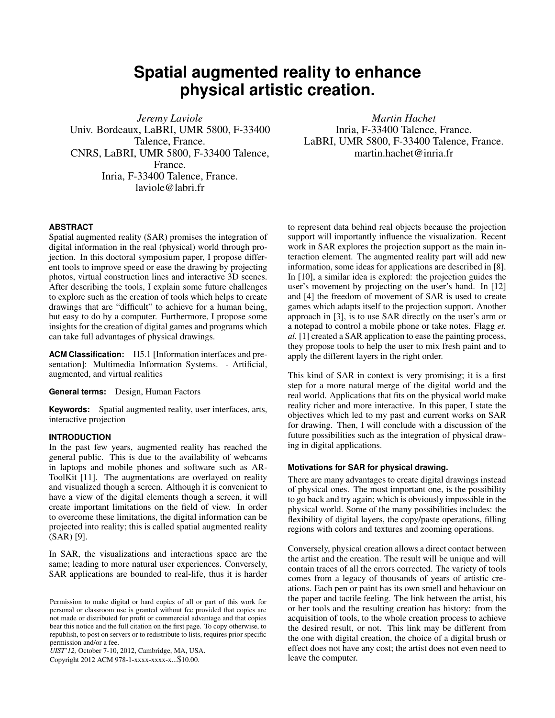# **Spatial augmented reality to enhance physical artistic creation.**

*Jeremy Laviole* Univ. Bordeaux, LaBRI, UMR 5800, F-33400 Talence, France. CNRS, LaBRI, UMR 5800, F-33400 Talence, France. Inria, F-33400 Talence, France. laviole@labri.fr

*Martin Hachet* Inria, F-33400 Talence, France. LaBRI, UMR 5800, F-33400 Talence, France. martin.hachet@inria.fr

#### **ABSTRACT**

Spatial augmented reality (SAR) promises the integration of digital information in the real (physical) world through projection. In this doctoral symposium paper, I propose different tools to improve speed or ease the drawing by projecting photos, virtual construction lines and interactive 3D scenes. After describing the tools, I explain some future challenges to explore such as the creation of tools which helps to create drawings that are "difficult" to achieve for a human being, but easy to do by a computer. Furthermore, I propose some insights for the creation of digital games and programs which can take full advantages of physical drawings.

**ACM Classification:** H5.1 [Information interfaces and presentation]: Multimedia Information Systems. - Artificial, augmented, and virtual realities

**General terms:** Design, Human Factors

**Keywords:** Spatial augmented reality, user interfaces, arts, interactive projection

### **INTRODUCTION**

In the past few years, augmented reality has reached the general public. This is due to the availability of webcams in laptops and mobile phones and software such as AR-ToolKit [11]. The augmentations are overlayed on reality and visualized though a screen. Although it is convenient to have a view of the digital elements though a screen, it will create important limitations on the field of view. In order to overcome these limitations, the digital information can be projected into reality; this is called spatial augmented reality (SAR) [9].

In SAR, the visualizations and interactions space are the same; leading to more natural user experiences. Conversely, SAR applications are bounded to real-life, thus it is harder

*UIST'12,* October 7-10, 2012, Cambridge, MA, USA.

Copyright 2012 ACM 978-1-xxxx-xxxx-x...\$10.00.

to represent data behind real objects because the projection support will importantly influence the visualization. Recent work in SAR explores the projection support as the main interaction element. The augmented reality part will add new information, some ideas for applications are described in [8]. In [10], a similar idea is explored: the projection guides the user's movement by projecting on the user's hand. In [12] and [4] the freedom of movement of SAR is used to create games which adapts itself to the projection support. Another approach in [3], is to use SAR directly on the user's arm or a notepad to control a mobile phone or take notes. Flagg *et. al.* [1] created a SAR application to ease the painting process, they propose tools to help the user to mix fresh paint and to apply the different layers in the right order.

This kind of SAR in context is very promising; it is a first step for a more natural merge of the digital world and the real world. Applications that fits on the physical world make reality richer and more interactive. In this paper, I state the objectives which led to my past and current works on SAR for drawing. Then, I will conclude with a discussion of the future possibilities such as the integration of physical drawing in digital applications.

#### **Motivations for SAR for physical drawing.**

There are many advantages to create digital drawings instead of physical ones. The most important one, is the possibility to go back and try again; which is obviously impossible in the physical world. Some of the many possibilities includes: the flexibility of digital layers, the copy/paste operations, filling regions with colors and textures and zooming operations.

Conversely, physical creation allows a direct contact between the artist and the creation. The result will be unique and will contain traces of all the errors corrected. The variety of tools comes from a legacy of thousands of years of artistic creations. Each pen or paint has its own smell and behaviour on the paper and tactile feeling. The link between the artist, his or her tools and the resulting creation has history: from the acquisition of tools, to the whole creation process to achieve the desired result, or not. This link may be different from the one with digital creation, the choice of a digital brush or effect does not have any cost; the artist does not even need to leave the computer.

Permission to make digital or hard copies of all or part of this work for personal or classroom use is granted without fee provided that copies are not made or distributed for profit or commercial advantage and that copies bear this notice and the full citation on the first page. To copy otherwise, to republish, to post on servers or to redistribute to lists, requires prior specific permission and/or a fee.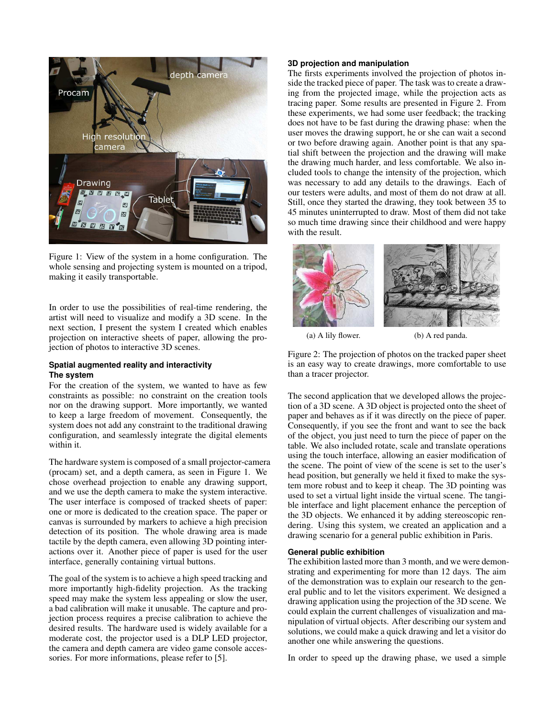

Figure 1: View of the system in a home configuration. The whole sensing and projecting system is mounted on a tripod, making it easily transportable.

In order to use the possibilities of real-time rendering, the artist will need to visualize and modify a 3D scene. In the next section, I present the system I created which enables projection on interactive sheets of paper, allowing the projection of photos to interactive 3D scenes.

#### **Spatial augmented reality and interactivity The system**

For the creation of the system, we wanted to have as few constraints as possible: no constraint on the creation tools nor on the drawing support. More importantly, we wanted to keep a large freedom of movement. Consequently, the system does not add any constraint to the traditional drawing configuration, and seamlessly integrate the digital elements within it.

The hardware system is composed of a small projector-camera (procam) set, and a depth camera, as seen in Figure 1. We chose overhead projection to enable any drawing support, and we use the depth camera to make the system interactive. The user interface is composed of tracked sheets of paper: one or more is dedicated to the creation space. The paper or canvas is surrounded by markers to achieve a high precision detection of its position. The whole drawing area is made tactile by the depth camera, even allowing 3D pointing interactions over it. Another piece of paper is used for the user interface, generally containing virtual buttons.

The goal of the system is to achieve a high speed tracking and more importantly high-fidelity projection. As the tracking speed may make the system less appealing or slow the user, a bad calibration will make it unusable. The capture and projection process requires a precise calibration to achieve the desired results. The hardware used is widely available for a moderate cost, the projector used is a DLP LED projector, the camera and depth camera are video game console accessories. For more informations, please refer to [5].

#### **3D projection and manipulation**

The firsts experiments involved the projection of photos inside the tracked piece of paper. The task was to create a drawing from the projected image, while the projection acts as tracing paper. Some results are presented in Figure 2. From these experiments, we had some user feedback; the tracking does not have to be fast during the drawing phase: when the user moves the drawing support, he or she can wait a second or two before drawing again. Another point is that any spatial shift between the projection and the drawing will make the drawing much harder, and less comfortable. We also included tools to change the intensity of the projection, which was necessary to add any details to the drawings. Each of our testers were adults, and most of them do not draw at all. Still, once they started the drawing, they took between 35 to 45 minutes uninterrupted to draw. Most of them did not take so much time drawing since their childhood and were happy with the result.



(a) A lily flower. (b) A red panda.

Figure 2: The projection of photos on the tracked paper sheet is an easy way to create drawings, more comfortable to use than a tracer projector.

The second application that we developed allows the projection of a 3D scene. A 3D object is projected onto the sheet of paper and behaves as if it was directly on the piece of paper. Consequently, if you see the front and want to see the back of the object, you just need to turn the piece of paper on the table. We also included rotate, scale and translate operations using the touch interface, allowing an easier modification of the scene. The point of view of the scene is set to the user's head position, but generally we held it fixed to make the system more robust and to keep it cheap. The 3D pointing was used to set a virtual light inside the virtual scene. The tangible interface and light placement enhance the perception of the 3D objects. We enhanced it by adding stereoscopic rendering. Using this system, we created an application and a drawing scenario for a general public exhibition in Paris.

#### **General public exhibition**

The exhibition lasted more than 3 month, and we were demonstrating and experimenting for more than 12 days. The aim of the demonstration was to explain our research to the general public and to let the visitors experiment. We designed a drawing application using the projection of the 3D scene. We could explain the current challenges of visualization and manipulation of virtual objects. After describing our system and solutions, we could make a quick drawing and let a visitor do another one while answering the questions.

In order to speed up the drawing phase, we used a simple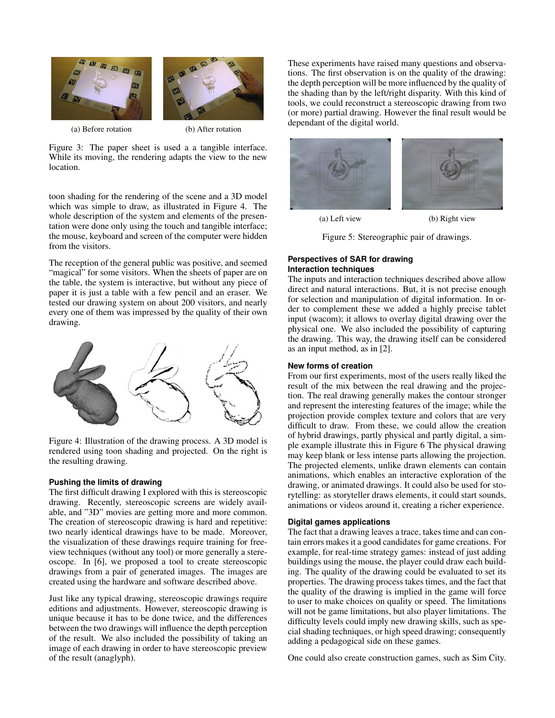

(a) Before rotation (b) After rotation

Figure 3: The paper sheet is used a a tangible interface. While its moving, the rendering adapts the view to the new location.

toon shading for the rendering of the scene and a 3D model which was simple to draw, as illustrated in Figure 4. The whole description of the system and elements of the presentation were done only using the touch and tangible interface; the mouse, keyboard and screen of the computer were hidden from the visitors.

The reception of the general public was positive, and seemed "magical" for some visitors. When the sheets of paper are on the table, the system is interactive, but without any piece of paper it is just a table with a few pencil and an eraser. We tested our drawing system on about 200 visitors, and nearly every one of them was impressed by the quality of their own drawing.



Figure 4: Illustration of the drawing process. A 3D model is rendered using toon shading and projected. On the right is the resulting drawing.

#### **Pushing the limits of drawing**

The first difficult drawing I explored with this is stereoscopic drawing. Recently, stereoscopic screens are widely available, and "3D" movies are getting more and more common. The creation of stereoscopic drawing is hard and repetitive: two nearly identical drawings have to be made. Moreover, the visualization of these drawings require training for freeview techniques (without any tool) or more generally a stereoscope. In [6], we proposed a tool to create stereoscopic drawings from a pair of generated images. The images are created using the hardware and software described above.

Just like any typical drawing, stereoscopic drawings require editions and adjustments. However, stereoscopic drawing is unique because it has to be done twice, and the differences between the two drawings will influence the depth perception of the result. We also included the possibility of taking an image of each drawing in order to have stereoscopic preview of the result (anaglyph).

These experiments have raised many questions and observations. The first observation is on the quality of the drawing: the depth perception will be more influenced by the quality of the shading than by the left/right disparity. With this kind of tools, we could reconstruct a stereoscopic drawing from two (or more) partial drawing. However the final result would be dependant of the digital world.



(a) Left view (b) Right view

Figure 5: Stereographic pair of drawings.

#### **Perspectives of SAR for drawing Interaction techniques**

The inputs and interaction techniques described above allow direct and natural interactions. But, it is not precise enough for selection and manipulation of digital information. In order to complement these we added a highly precise tablet input (wacom); it allows to overlay digital drawing over the physical one. We also included the possibility of capturing the drawing. This way, the drawing itself can be considered as an input method, as in [2].

#### **New forms of creation**

From our first experiments, most of the users really liked the result of the mix between the real drawing and the projection. The real drawing generally makes the contour stronger and represent the interesting features of the image; while the projection provide complex texture and colors that are very difficult to draw. From these, we could allow the creation of hybrid drawings, partly physical and partly digital, a simple example illustrate this in Figure 6 The physical drawing may keep blank or less intense parts allowing the projection. The projected elements, unlike drawn elements can contain animations, which enables an interactive exploration of the drawing, or animated drawings. It could also be used for storytelling: as storyteller draws elements, it could start sounds, animations or videos around it, creating a richer experience.

#### **Digital games applications**

The fact that a drawing leaves a trace, takes time and can contain errors makes it a good candidates for game creations. For example, for real-time strategy games: instead of just adding buildings using the mouse, the player could draw each building. The quality of the drawing could be evaluated to set its properties. The drawing process takes times, and the fact that the quality of the drawing is implied in the game will force to user to make choices on quality or speed. The limitations will not be game limitations, but also player limitations. The difficulty levels could imply new drawing skills, such as special shading techniques, or high speed drawing; consequently adding a pedagogical side on these games.

One could also create construction games, such as Sim City.